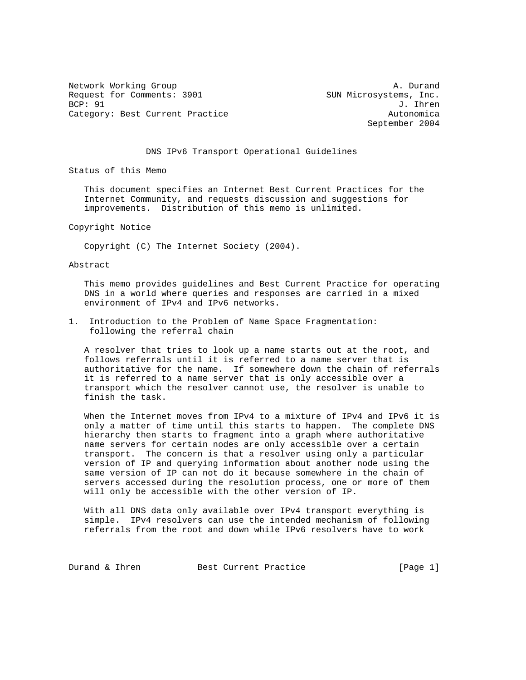Network Working Group and the set of the set of the set of the set of the set of the set of the set of the set of the set of the set of the set of the set of the set of the set of the set of the set of the set of the set o Request for Comments: 3901 SUN Microsystems, Inc.<br>BCP: 91 J. Ihren Category: Best Current Practice and Category: Best Current Practice

J. Ihren September 2004

## DNS IPv6 Transport Operational Guidelines

Status of this Memo

 This document specifies an Internet Best Current Practices for the Internet Community, and requests discussion and suggestions for improvements. Distribution of this memo is unlimited.

Copyright Notice

Copyright (C) The Internet Society (2004).

Abstract

 This memo provides guidelines and Best Current Practice for operating DNS in a world where queries and responses are carried in a mixed environment of IPv4 and IPv6 networks.

1. Introduction to the Problem of Name Space Fragmentation: following the referral chain

 A resolver that tries to look up a name starts out at the root, and follows referrals until it is referred to a name server that is authoritative for the name. If somewhere down the chain of referrals it is referred to a name server that is only accessible over a transport which the resolver cannot use, the resolver is unable to finish the task.

 When the Internet moves from IPv4 to a mixture of IPv4 and IPv6 it is only a matter of time until this starts to happen. The complete DNS hierarchy then starts to fragment into a graph where authoritative name servers for certain nodes are only accessible over a certain transport. The concern is that a resolver using only a particular version of IP and querying information about another node using the same version of IP can not do it because somewhere in the chain of servers accessed during the resolution process, one or more of them will only be accessible with the other version of IP.

 With all DNS data only available over IPv4 transport everything is simple. IPv4 resolvers can use the intended mechanism of following referrals from the root and down while IPv6 resolvers have to work

Durand & Ihren Best Current Practice [Page 1]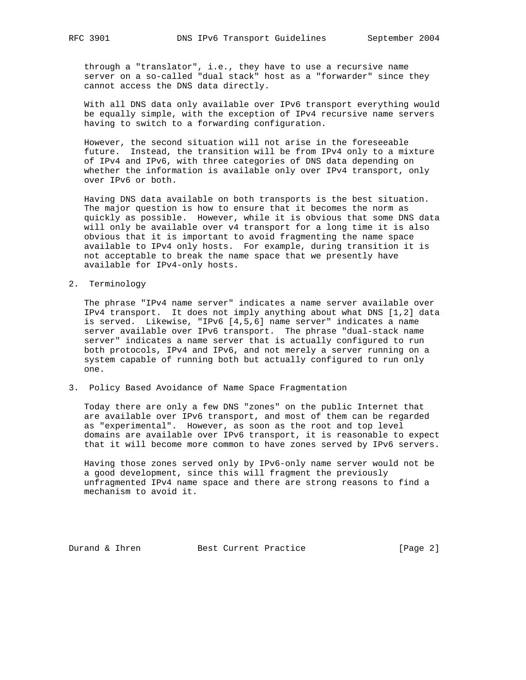through a "translator", i.e., they have to use a recursive name server on a so-called "dual stack" host as a "forwarder" since they cannot access the DNS data directly.

 With all DNS data only available over IPv6 transport everything would be equally simple, with the exception of IPv4 recursive name servers having to switch to a forwarding configuration.

 However, the second situation will not arise in the foreseeable future. Instead, the transition will be from IPv4 only to a mixture of IPv4 and IPv6, with three categories of DNS data depending on whether the information is available only over IPv4 transport, only over IPv6 or both.

 Having DNS data available on both transports is the best situation. The major question is how to ensure that it becomes the norm as quickly as possible. However, while it is obvious that some DNS data will only be available over v4 transport for a long time it is also obvious that it is important to avoid fragmenting the name space available to IPv4 only hosts. For example, during transition it is not acceptable to break the name space that we presently have available for IPv4-only hosts.

2. Terminology

 The phrase "IPv4 name server" indicates a name server available over IPv4 transport. It does not imply anything about what DNS [1,2] data is served. Likewise, "IPv6 [4,5,6] name server" indicates a name server available over IPv6 transport. The phrase "dual-stack name server" indicates a name server that is actually configured to run both protocols, IPv4 and IPv6, and not merely a server running on a system capable of running both but actually configured to run only one.

3. Policy Based Avoidance of Name Space Fragmentation

 Today there are only a few DNS "zones" on the public Internet that are available over IPv6 transport, and most of them can be regarded as "experimental". However, as soon as the root and top level domains are available over IPv6 transport, it is reasonable to expect that it will become more common to have zones served by IPv6 servers.

 Having those zones served only by IPv6-only name server would not be a good development, since this will fragment the previously unfragmented IPv4 name space and there are strong reasons to find a mechanism to avoid it.

Durand & Ihren Best Current Practice [Page 2]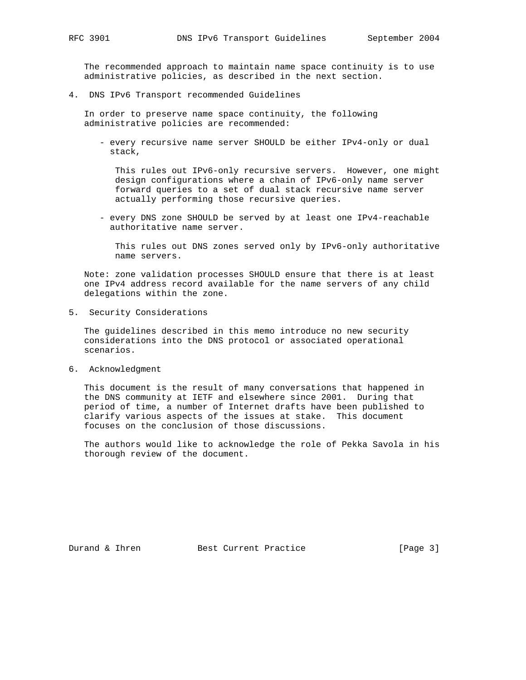The recommended approach to maintain name space continuity is to use administrative policies, as described in the next section.

4. DNS IPv6 Transport recommended Guidelines

 In order to preserve name space continuity, the following administrative policies are recommended:

 - every recursive name server SHOULD be either IPv4-only or dual stack,

 This rules out IPv6-only recursive servers. However, one might design configurations where a chain of IPv6-only name server forward queries to a set of dual stack recursive name server actually performing those recursive queries.

 - every DNS zone SHOULD be served by at least one IPv4-reachable authoritative name server.

 This rules out DNS zones served only by IPv6-only authoritative name servers.

 Note: zone validation processes SHOULD ensure that there is at least one IPv4 address record available for the name servers of any child delegations within the zone.

5. Security Considerations

 The guidelines described in this memo introduce no new security considerations into the DNS protocol or associated operational scenarios.

6. Acknowledgment

 This document is the result of many conversations that happened in the DNS community at IETF and elsewhere since 2001. During that period of time, a number of Internet drafts have been published to clarify various aspects of the issues at stake. This document focuses on the conclusion of those discussions.

 The authors would like to acknowledge the role of Pekka Savola in his thorough review of the document.

Durand & Ihren Best Current Practice [Page 3]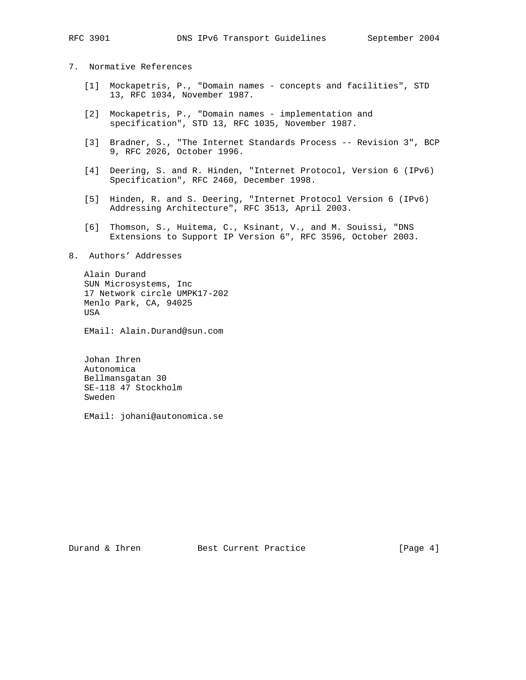- 7. Normative References
	- [1] Mockapetris, P., "Domain names concepts and facilities", STD 13, RFC 1034, November 1987.
	- [2] Mockapetris, P., "Domain names implementation and specification", STD 13, RFC 1035, November 1987.
	- [3] Bradner, S., "The Internet Standards Process -- Revision 3", BCP 9, RFC 2026, October 1996.
	- [4] Deering, S. and R. Hinden, "Internet Protocol, Version 6 (IPv6) Specification", RFC 2460, December 1998.
	- [5] Hinden, R. and S. Deering, "Internet Protocol Version 6 (IPv6) Addressing Architecture", RFC 3513, April 2003.
	- [6] Thomson, S., Huitema, C., Ksinant, V., and M. Souissi, "DNS Extensions to Support IP Version 6", RFC 3596, October 2003.

## 8. Authors' Addresses

 Alain Durand SUN Microsystems, Inc 17 Network circle UMPK17-202 Menlo Park, CA, 94025 USA

EMail: Alain.Durand@sun.com

 Johan Ihren Autonomica Bellmansgatan 30 SE-118 47 Stockholm Sweden

EMail: johani@autonomica.se

Durand & Ihren Best Current Practice [Page 4]